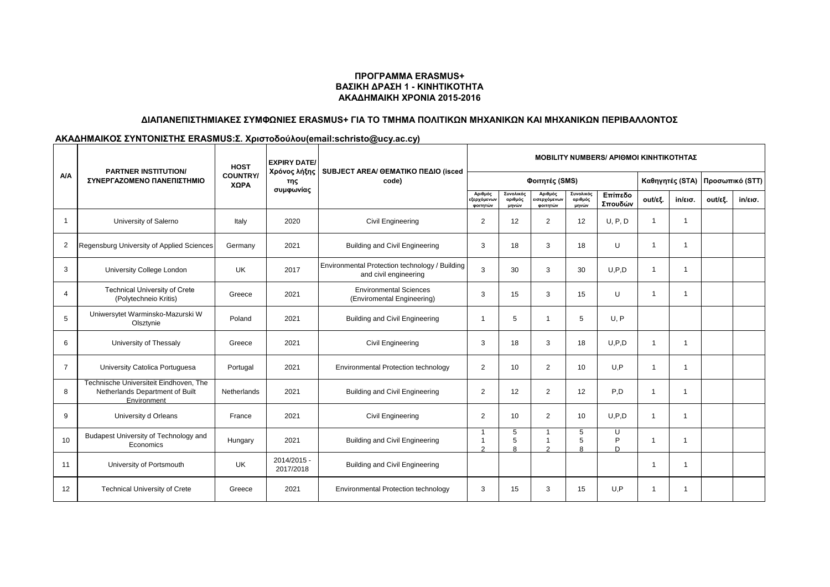## **ΠΡΟΓΡΑΜΜΑ ERASMUS+ ΒΑΣΙΚΗ ΔΡΑΣΗ 1 - ΚΙΝΗΤΙΚΟΤΗΤΑ ΑΚΑΔΗΜΑΙΚΗ ΧΡΟΝΙΑ 2015-2016**

# **ΔΙΑΠΑΝΕΠΙΣΤΗΜΙΑΚΕΣ ΣΥΜΦΩΝΙΕΣ ERASMUS+ ΓΙΑ ΤΟ ΤΜΗΜΑ ΠΟΛΙΤΙΚΩΝ ΜΗΧΑΝΙΚΩΝ ΚΑΙ ΜΗΧΑΝΙΚΩΝ ΠΕΡΙΒΑΛΛΟΝΤΟΣ**

## **ΑΚΑΔΗΜΑΙΚΟΣ ΣΥΝΤΟΝΙΣΤΗΣ ERASMUS:Σ. Χριστοδούλου(email:schristo@ucy.ac.cy)**

| <b>A/A</b>     | <b>PARTNER INSTITUTION/</b><br>ΣΥΝΕΡΓΑΖΟΜΕΝΟ ΠΑΝΕΠΙΣΤΗΜΙΟ                                | <b>HOST</b><br><b>COUNTRY/</b><br>ΧΩΡΑ | <b>EXPIRY DATE/</b><br>Χρόνος λήξης<br>της<br>συμφωνίας | SUBJECT AREA/ @EMATIKO ΠΕΔΙΟ (isced<br>code)                            | <b>MOBILITY NUMBERS/ APIOMOI KINHTIKOTHTAZ</b> |                               |                                            |                               |                    |              |                          |                                 |                   |
|----------------|------------------------------------------------------------------------------------------|----------------------------------------|---------------------------------------------------------|-------------------------------------------------------------------------|------------------------------------------------|-------------------------------|--------------------------------------------|-------------------------------|--------------------|--------------|--------------------------|---------------------------------|-------------------|
|                |                                                                                          |                                        |                                                         |                                                                         | Φοιτητές (SMS)                                 |                               |                                            |                               |                    |              |                          | Καθηγητές (STA) Προσωπικό (STT) |                   |
|                |                                                                                          |                                        |                                                         |                                                                         | Αριθμός<br>εξερχόμενων<br>φοιτητών             | Συνολικός<br>αριθμός<br>μηνών | Αριθμός<br>ισερχόμενω <b>ν</b><br>φοιτητών | Συνολικός<br>αριθμός<br>μηνών | Επίπεδο<br>Σπουδών | out/εξ.      | in/εισ.                  | out/εξ.                         | $in/\epsilon$ ισ. |
| 1              | University of Salerno                                                                    | Italy                                  | 2020                                                    | <b>Civil Engineering</b>                                                | 2                                              | 12                            | 2                                          | 12                            | U, P, D            | 1            | $\overline{\phantom{a}}$ |                                 |                   |
| 2              | Regensburg University of Applied Sciences                                                | Germany                                | 2021                                                    | <b>Building and Civil Engineering</b>                                   | 3                                              | 18                            | 3                                          | 18                            | U                  | 1            |                          |                                 |                   |
| 3              | University College London                                                                | UK                                     | 2017                                                    | Environmental Protection technology / Building<br>and civil engineering | 3                                              | 30                            | 3                                          | 30                            | U.P.D              | $\mathbf{1}$ | $\overline{\phantom{a}}$ |                                 |                   |
| $\overline{4}$ | <b>Technical University of Crete</b><br>(Polytechneio Kritis)                            | Greece                                 | 2021                                                    | <b>Environmental Sciences</b><br>(Enviromental Engineering)             | 3                                              | 15                            | 3                                          | 15                            | U                  | 1            | -1                       |                                 |                   |
| 5              | Uniwersytet Warminsko-Mazurski W<br>Olsztynie                                            | Poland                                 | 2021                                                    | <b>Building and Civil Engineering</b>                                   |                                                | 5                             |                                            | 5                             | U, P               |              |                          |                                 |                   |
| 6              | University of Thessaly                                                                   | Greece                                 | 2021                                                    | <b>Civil Engineering</b>                                                | 3                                              | 18                            | 3                                          | 18                            | U, P, D            | 1            |                          |                                 |                   |
| $\overline{7}$ | University Catolica Portuguesa                                                           | Portugal                               | 2021                                                    | Environmental Protection technology                                     | 2                                              | 10                            | $\overline{2}$                             | 10                            | U.P                | 1            |                          |                                 |                   |
| 8              | Technische Universiteit Eindhoven, The<br>Netherlands Department of Built<br>Environment | Netherlands                            | 2021                                                    | <b>Building and Civil Engineering</b>                                   | $\overline{2}$                                 | 12                            | $\overline{2}$                             | 12                            | P,D                |              | 1                        |                                 |                   |
| 9              | University d Orleans                                                                     | France                                 | 2021                                                    | <b>Civil Engineering</b>                                                | 2                                              | 10                            | 2                                          | 10                            | U.P.D              |              | 1                        |                                 |                   |
| 10             | Budapest University of Technology and<br>Economics                                       | Hungary                                | 2021                                                    | <b>Building and Civil Engineering</b>                                   | -1<br>$\mathbf 1$<br>$\mathfrak{D}$            | 5<br>5<br>8                   | $\mathcal{P}$                              | 5<br>5<br>$\mathsf{R}$        | U<br>P<br>D        |              | 1                        |                                 |                   |
| 11             | University of Portsmouth                                                                 | <b>UK</b>                              | 2014/2015 -<br>2017/2018                                | <b>Building and Civil Engineering</b>                                   |                                                |                               |                                            |                               |                    | 1            |                          |                                 |                   |
| 12             | <b>Technical University of Crete</b>                                                     | Greece                                 | 2021                                                    | <b>Environmental Protection technology</b>                              | 3                                              | 15                            | 3                                          | 15                            | U.P                | 1            |                          |                                 |                   |